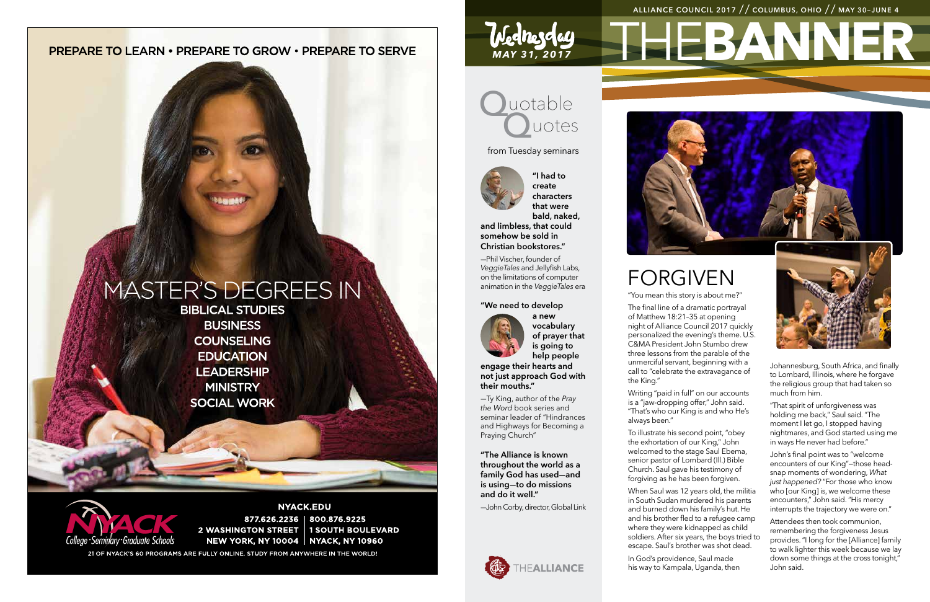# **PREPARE TO LEARN • PREPARE TO GROW • PREPARE TO SERVE**

# MASTER'S DEGREES IN

**BIBLICAL STUDIES BUSINESS COUNSELING EDUCATION LEADERSHIP MINISTRY SOCIAL WORK** 



**NYACK.EDU** 877.626.2236 | 800.876.9225 2 WASHINGTON STREET | 1 SOUTH BOULEVARD **NEW YORK, NY 10004 | NYACK, NY 10960** 

21 OF NYACK'S 60 PROGRAMS ARE FULLY ONLINE. STUDY FROM ANYWHERE IN THE WORLD!

# uotable **luotes**

# **LEBANN ALLIANCE COUNCIL 2017** // **COLUMBUS, OHIO** // **MAY 30–JUNE 4**



*MAY 31, 2017*

Wednesday

# FORGIVEN

"You mean this story is about me?"

The final line of a dramatic portrayal of Matthew 18:21–35 at opening night of Alliance Council 2017 quickly personalized the evening's theme. U.S. C&MA President John Stumbo drew three lessons from the parable of the unmerciful servant, beginning with a call to "celebrate the extravagance of the King."

Writing "paid in full" on our accounts is a "jaw-dropping offer," John said. "That's who our King is and who He's



always been."

To illustrate his second point, "obey the exhortation of our King," John welcomed to the stage Saul Ebema, senior pastor of Lombard (Ill.) Bible Church. Saul gave his testimony of forgiving as he has been forgiven.

When Saul was 12 years old, the militia in South Sudan murdered his parents and burned down his family's hut. He and his brother fled to a refugee camp where they were kidnapped as child soldiers. After six years, the boys tried to escape. Saul's brother was shot dead.

In God's providence, Saul made his way to Kampala, Uganda, then Johannesburg, South Africa, and finally to Lombard, Illinois, where he forgave the religious group that had taken so much from him.

"That spirit of unforgiveness was holding me back," Saul said. "The moment I let go, I stopped having nightmares, and God started using me in ways He never had before."

John's final point was to "welcome encounters of our King"—those headsnap moments of wondering, *What just happened?* "For those who know who *[our King]* is, we welcome these encounters," John said. "His mercy interrupts the trajectory we were on."

Attendees then took communion, remembering the forgiveness Jesus provides. "I long for the [Alliance] family to walk lighter this week because we lay down some things at the cross tonight," John said.

**"I had to create characters that were bald, naked,** 

**and limbless, that could somehow be sold in Christian bookstores."**

—Phil Vischer, founder of *VeggieTales* and Jellyfish Labs, on the limitations of computer animation in the *VeggieTales* era

### **"We need to develop**



**a new vocabulary of prayer that is going to help people** 

**engage their hearts and not just approach God with their mouths."**

—Ty King, author of the *Pray the Word* book series and seminar leader of "Hindrances and Highways for Becoming a Praying Church"

**"The Alliance is known throughout the world as a family God has used—and is using—to do missions and do it well."**

—John Corby, director, Global Link



from Tuesday seminars